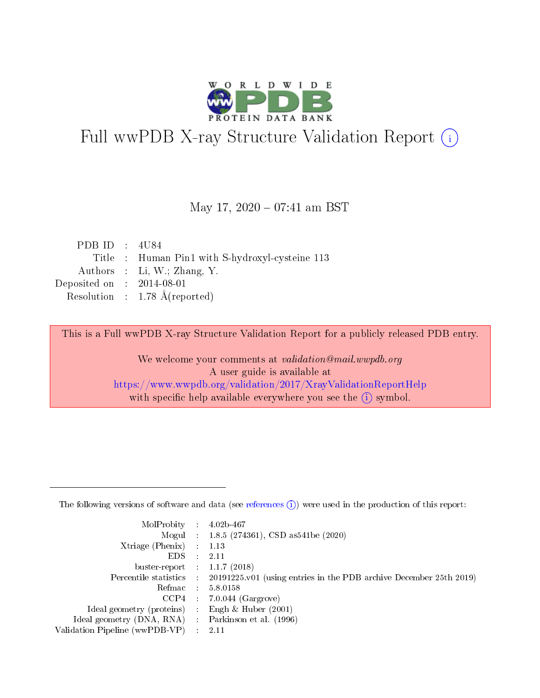

# Full wwPDB X-ray Structure Validation Report (i)

#### May 17,  $2020 - 07:41$  am BST

| PDB ID : $4U84$                      |                                                 |
|--------------------------------------|-------------------------------------------------|
|                                      | Title : Human Pin1 with S-hydroxyl-cysteine 113 |
|                                      | Authors : Li, W.; Zhang, Y.                     |
| Deposited on $\therefore$ 2014-08-01 |                                                 |
|                                      | Resolution : $1.78 \text{ Å}$ (reported)        |
|                                      |                                                 |

This is a Full wwPDB X-ray Structure Validation Report for a publicly released PDB entry.

We welcome your comments at validation@mail.wwpdb.org A user guide is available at <https://www.wwpdb.org/validation/2017/XrayValidationReportHelp> with specific help available everywhere you see the  $(i)$  symbol.

The following versions of software and data (see [references](https://www.wwpdb.org/validation/2017/XrayValidationReportHelp#references)  $(1)$ ) were used in the production of this report:

| MolProbity : 4.02b-467         |     |                                                                                            |
|--------------------------------|-----|--------------------------------------------------------------------------------------------|
|                                |     | Mogul : $1.8.5$ (274361), CSD as 541be (2020)                                              |
| $X$ triage (Phenix) :          |     | 1.13                                                                                       |
| EDS.                           |     | 2.11                                                                                       |
| buster-report : $1.1.7$ (2018) |     |                                                                                            |
|                                |     | Percentile statistics : 20191225.v01 (using entries in the PDB archive December 25th 2019) |
| Refmac                         |     | 5.8.0158                                                                                   |
| CCP4                           |     | $7.0.044$ (Gargrove)                                                                       |
| Ideal geometry (proteins) :    |     | Engh $\&$ Huber (2001)                                                                     |
| Ideal geometry (DNA, RNA) :    |     | Parkinson et al. (1996)                                                                    |
| Validation Pipeline (wwPDB-VP) | -11 | -2.11                                                                                      |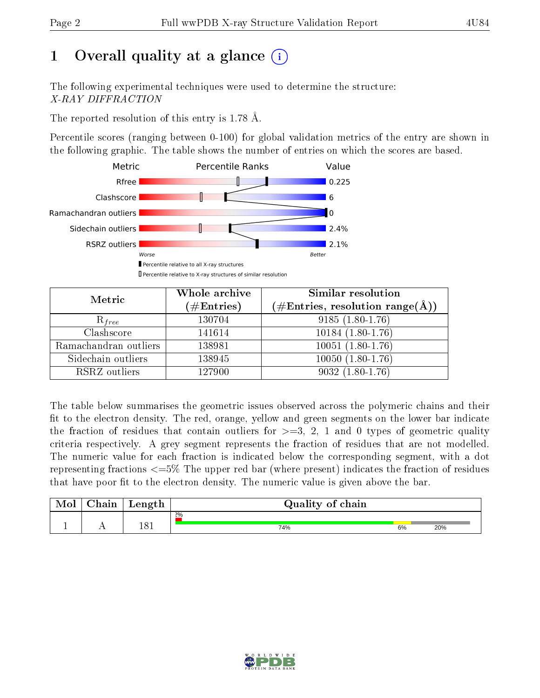# 1 [O](https://www.wwpdb.org/validation/2017/XrayValidationReportHelp#overall_quality)verall quality at a glance  $(i)$

The following experimental techniques were used to determine the structure: X-RAY DIFFRACTION

The reported resolution of this entry is 1.78 Å.

Percentile scores (ranging between 0-100) for global validation metrics of the entry are shown in the following graphic. The table shows the number of entries on which the scores are based.



| Metric                | Whole archive<br>$(\#\text{Entries})$ | Similar resolution<br>$(\#\text{Entries}, \text{resolution range}(\text{\AA}))$ |
|-----------------------|---------------------------------------|---------------------------------------------------------------------------------|
| $R_{free}$            | 130704                                | $9185(1.80-1.76)$                                                               |
| Clashscore            | 141614                                | $10184(1.80-1.76)$                                                              |
| Ramachandran outliers | 138981                                | $10051(1.80-1.76)$                                                              |
| Sidechain outliers    | 138945                                | $10050$ $(1.80-1.76)$                                                           |
| RSRZ outliers         | 127900                                | $9032(1.80-1.76)$                                                               |

The table below summarises the geometric issues observed across the polymeric chains and their fit to the electron density. The red, orange, yellow and green segments on the lower bar indicate the fraction of residues that contain outliers for  $>=3, 2, 1$  and 0 types of geometric quality criteria respectively. A grey segment represents the fraction of residues that are not modelled. The numeric value for each fraction is indicated below the corresponding segment, with a dot representing fractions  $\epsilon=5\%$  The upper red bar (where present) indicates the fraction of residues that have poor fit to the electron density. The numeric value is given above the bar.

| Mol | $\sim$ $\sim$<br>hain | Length | Quality of chain |    |     |  |  |  |  |
|-----|-----------------------|--------|------------------|----|-----|--|--|--|--|
|     |                       |        | $2\%$            |    |     |  |  |  |  |
| л.  | . .                   | 181    | 74%              | 6% | 20% |  |  |  |  |

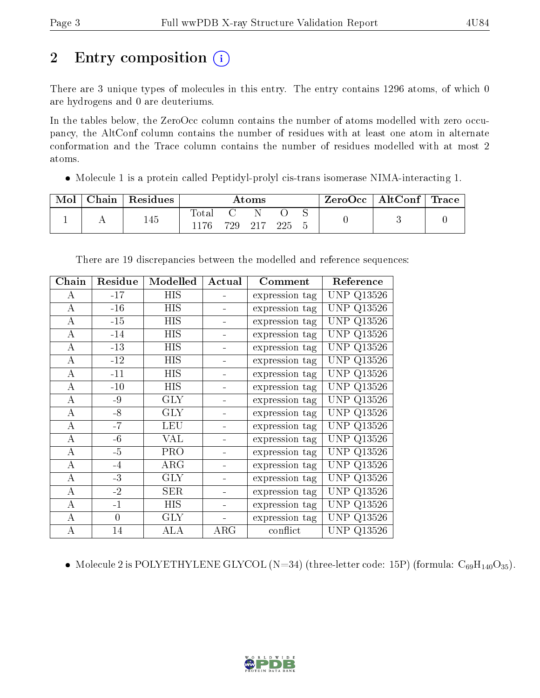# 2 Entry composition  $\left( \cdot \right)$

There are 3 unique types of molecules in this entry. The entry contains 1296 atoms, of which 0 are hydrogens and 0 are deuteriums.

In the tables below, the ZeroOcc column contains the number of atoms modelled with zero occupancy, the AltConf column contains the number of residues with at least one atom in alternate conformation and the Trace column contains the number of residues modelled with at most 2 atoms.

Molecule 1 is a protein called Peptidyl-prolyl cis-trans isomerase NIMA-interacting 1.

| Mol | Chain | Residues |                 | Atoms   |      |  | $\text{ZeroOcc} \mid \text{AltConf} \mid \text{Trace}$ |  |
|-----|-------|----------|-----------------|---------|------|--|--------------------------------------------------------|--|
|     |       | 145      | l'otal<br>1176. | 729 217 | -225 |  |                                                        |  |

| Chain            | Residue  | Modelled   | Actual     | Comment        | Reference         |
|------------------|----------|------------|------------|----------------|-------------------|
| A                | $-17$    | HIS        |            | expression tag | <b>UNP Q13526</b> |
| $\bf{A}$         | $-16$    | HIS        |            | expression tag | <b>UNP Q13526</b> |
| A                | $-15$    | <b>HIS</b> |            | expression tag | <b>UNP Q13526</b> |
| $\bf{A}$         | $-14$    | HIS        |            | expression tag | UNP.<br>Q13526    |
| $\bf{A}$         | $-13$    | <b>HIS</b> |            | expression tag | <b>UNP Q13526</b> |
| A                | $-12$    | HIS        |            | expression tag | <b>UNP Q13526</b> |
| А                | $-11$    | HIS        |            | expression tag | <b>UNP Q13526</b> |
| A                | $-10$    | HIS        |            | expression tag | <b>UNP Q13526</b> |
| $\bf{A}$         | $-9$     | GLY        |            | expression tag | <b>UNP Q13526</b> |
| A                | $-8$     | <b>GLY</b> |            | expression tag | <b>UNP Q13526</b> |
| А                | $-7$     | LEU        |            | expression tag | UNP Q13526        |
| A                | $-6$     | VAL        |            | expression tag | UNP<br>Q13526     |
| А                | $-5$     | <b>PRO</b> |            | expression tag | UNP Q13526        |
| $\boldsymbol{A}$ | $-4$     | ARG        |            | expression tag | <b>UNP Q13526</b> |
| $\boldsymbol{A}$ | $-3$     | <b>GLY</b> |            | expression tag | <b>UNP Q13526</b> |
| $\bf{A}$         | $-2$     | SER        |            | expression tag | <b>UNP Q13526</b> |
| $\bf{A}$         | $-1$     | <b>HIS</b> |            | expression tag | <b>UNP Q13526</b> |
| $\boldsymbol{A}$ | $\theta$ | <b>GLY</b> |            | expression tag | <b>UNP Q13526</b> |
| А                | 14       | ALA        | $\rm{ARG}$ | conflict       | <b>UNP Q13526</b> |

There are 19 discrepancies between the modelled and reference sequences:

• Molecule 2 is POLYETHYLENE GLYCOL (N=34) (three-letter code: 15P) (formula:  $C_{69}H_{140}O_{35}$ ).

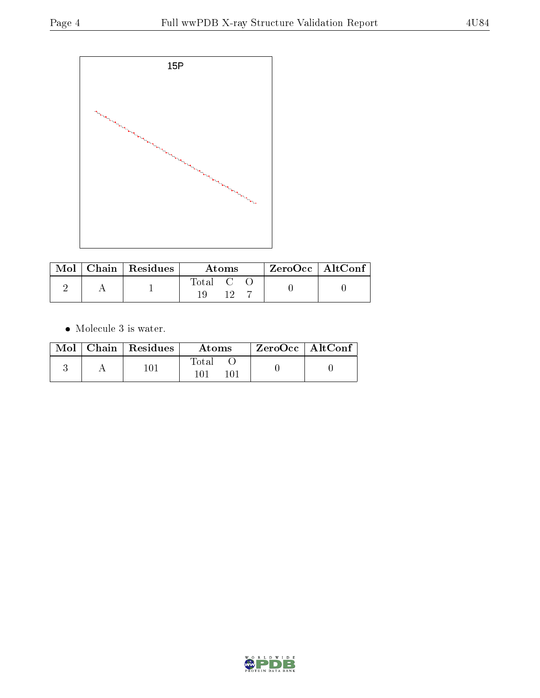

| Total C |  | $\mid$ Mol $\mid$ Chain $\mid$ Residues $\mid$ | Atoms |  |  | $^\top$ ZeroOcc   AltConf |  |
|---------|--|------------------------------------------------|-------|--|--|---------------------------|--|
|         |  |                                                |       |  |  |                           |  |

 $\bullet\,$  Molecule 3 is water.

|  | $Mol$   Chain   Residues | Atoms | $ZeroOcc \   \ AltConf \$ |  |
|--|--------------------------|-------|---------------------------|--|
|  | 101                      | Total |                           |  |

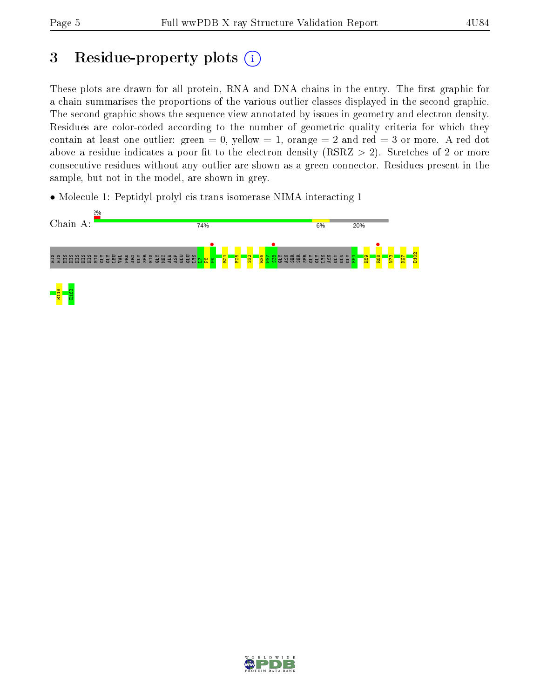# 3 Residue-property plots  $(i)$

These plots are drawn for all protein, RNA and DNA chains in the entry. The first graphic for a chain summarises the proportions of the various outlier classes displayed in the second graphic. The second graphic shows the sequence view annotated by issues in geometry and electron density. Residues are color-coded according to the number of geometric quality criteria for which they contain at least one outlier: green  $= 0$ , yellow  $= 1$ , orange  $= 2$  and red  $= 3$  or more. A red dot above a residue indicates a poor fit to the electron density (RSRZ  $> 2$ ). Stretches of 2 or more consecutive residues without any outlier are shown as a green connector. Residues present in the sample, but not in the model, are shown in grey.

• Molecule 1: Peptidyl-prolyl cis-trans isomerase NIMA-interacting 1



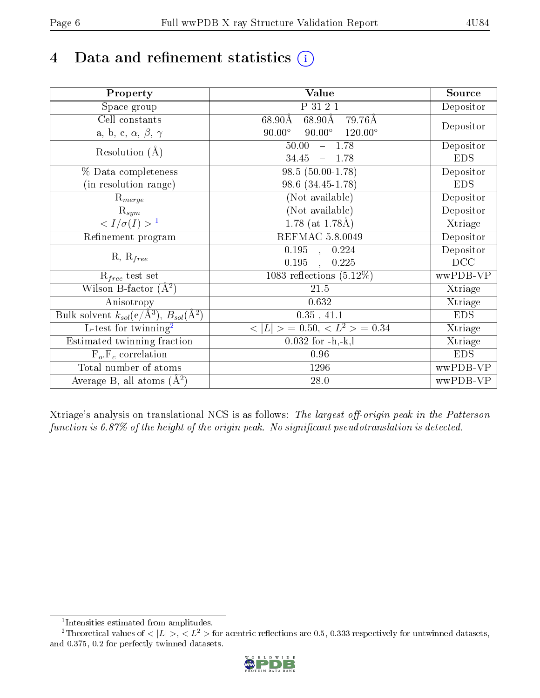# 4 Data and refinement statistics  $(i)$

| Property                                                   | Value                                              | Source     |
|------------------------------------------------------------|----------------------------------------------------|------------|
| Space group                                                | P 31 2 1                                           | Depositor  |
| Cell constants                                             | $68.90\text{\AA}$<br>$68.90\text{\AA}$<br>79.76Å   |            |
| a, b, c, $\alpha$ , $\beta$ , $\gamma$                     | $90.00^\circ$<br>$90.00^\circ$<br>$120.00^{\circ}$ | Depositor  |
| Resolution $(A)$                                           | $-1.78$<br>50.00                                   | Depositor  |
|                                                            | 34.45<br>$-1.78$                                   | <b>EDS</b> |
| % Data completeness                                        | 98.5 (50.00-1.78)                                  | Depositor  |
| (in resolution range)                                      | 98.6 (34.45-1.78)                                  | <b>EDS</b> |
| $\mathrm{R}_{merge}$                                       | (Not available)                                    | Depositor  |
| $\mathrm{R}_{sym}$                                         | (Not available)                                    | Depositor  |
| $\langle I/\sigma(I) \rangle^{-1}$                         | $\overline{1.78}$ (at 1.78Å)                       | Xtriage    |
| Refinement program                                         | <b>REFMAC 5.8.0049</b>                             | Depositor  |
|                                                            | $0.195$ , $0.224$                                  | Depositor  |
| $R, R_{free}$                                              | 0.195<br>0.225<br>$\mathcal{L}$                    | DCC        |
| $R_{free}$ test set                                        | 1083 reflections $(5.12\%)$                        | wwPDB-VP   |
| Wilson B-factor $(A^2)$                                    | 21.5                                               | Xtriage    |
| Anisotropy                                                 | 0.632                                              | Xtriage    |
| Bulk solvent $k_{sol}$ (e/Å <sup>3</sup> ), $B_{sol}(A^2)$ | $0.35$ , $41.1$                                    | <b>EDS</b> |
| $\overline{L-test for}$ twinning <sup>2</sup>              | $< L >$ = 0.50, $< L2 >$ = 0.34                    | Xtriage    |
| Estimated twinning fraction                                | $0.032$ for $-h,-k,l$                              | Xtriage    |
| $F_o, F_c$ correlation                                     | 0.96                                               | <b>EDS</b> |
| Total number of atoms                                      | 1296                                               | wwPDB-VP   |
| Average B, all atoms $(A^2)$                               | 28.0                                               | wwPDB-VP   |

Xtriage's analysis on translational NCS is as follows: The largest off-origin peak in the Patterson function is  $6.87\%$  of the height of the origin peak. No significant pseudotranslation is detected.

<sup>&</sup>lt;sup>2</sup>Theoretical values of  $\langle |L| \rangle$ ,  $\langle L^2 \rangle$  for acentric reflections are 0.5, 0.333 respectively for untwinned datasets, and 0.375, 0.2 for perfectly twinned datasets.



<span id="page-5-1"></span><span id="page-5-0"></span><sup>1</sup> Intensities estimated from amplitudes.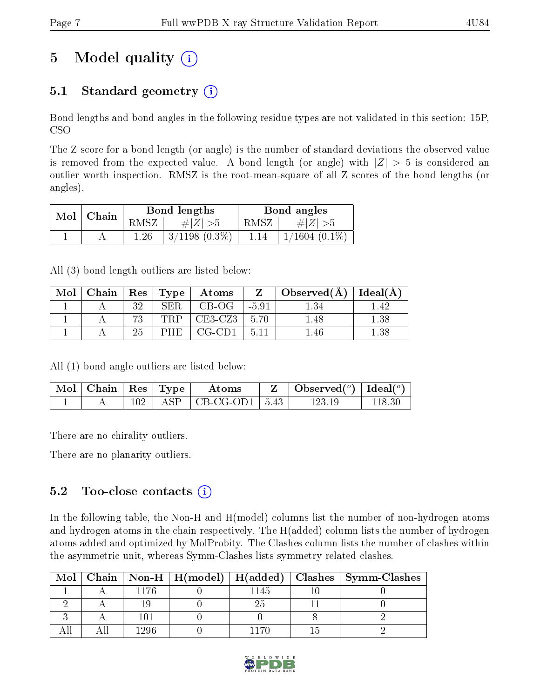# 5 Model quality  $(i)$

## 5.1 Standard geometry  $(i)$

Bond lengths and bond angles in the following residue types are not validated in this section: 15P, CSO

The Z score for a bond length (or angle) is the number of standard deviations the observed value is removed from the expected value. A bond length (or angle) with  $|Z| > 5$  is considered an outlier worth inspection. RMSZ is the root-mean-square of all Z scores of the bond lengths (or angles).

|     | $ $ Chain |        | Bond lengths       | Bond angles |                    |  |
|-----|-----------|--------|--------------------|-------------|--------------------|--|
| Mol |           | RMSZ . | $\# Z  > 5$        | RMSZ        | # $ Z  > 5$        |  |
|     |           | 1.26   | $3/1198$ $(0.3\%)$ | 1.14        | $1/1604$ $(0.1\%)$ |  |

All (3) bond length outliers are listed below:

| Mol | Chain   $\text{Res}$   $\text{Type}$ |     |       | Atoms     | Z       | Observed $(A)$ | $ $ Ideal( $A$ ) |
|-----|--------------------------------------|-----|-------|-----------|---------|----------------|------------------|
|     |                                      | າ ດ | SER   | $CB-OG$   | $-5.91$ |                | 42               |
|     |                                      |     | ''RP' | $CE3-CZ3$ | 5.70    | .48            | $1.38\,$         |
|     |                                      |     | PHE   | CG-CD1    | 5.11    | .46            | .38              |

All (1) bond angle outliers are listed below:

| Mol   Chain   $Res$   Type |  | Atoms                                  | Observed $({}^o)$   Ideal $({}^{o})$ |  |
|----------------------------|--|----------------------------------------|--------------------------------------|--|
|                            |  | $+$ ASP $\vert$ CB-CG-OD1 $\vert$ 5.43 | 123-19                               |  |

There are no chirality outliers.

There are no planarity outliers.

### 5.2 Too-close contacts  $\overline{()}$

In the following table, the Non-H and H(model) columns list the number of non-hydrogen atoms and hydrogen atoms in the chain respectively. The H(added) column lists the number of hydrogen atoms added and optimized by MolProbity. The Clashes column lists the number of clashes within the asymmetric unit, whereas Symm-Clashes lists symmetry related clashes.

| Mol |      |      | Chain   Non-H   H(model)   H(added)   Clashes   Symm-Clashes |
|-----|------|------|--------------------------------------------------------------|
|     | 176  | 1145 |                                                              |
|     |      |      |                                                              |
|     |      |      |                                                              |
|     | 1296 |      |                                                              |

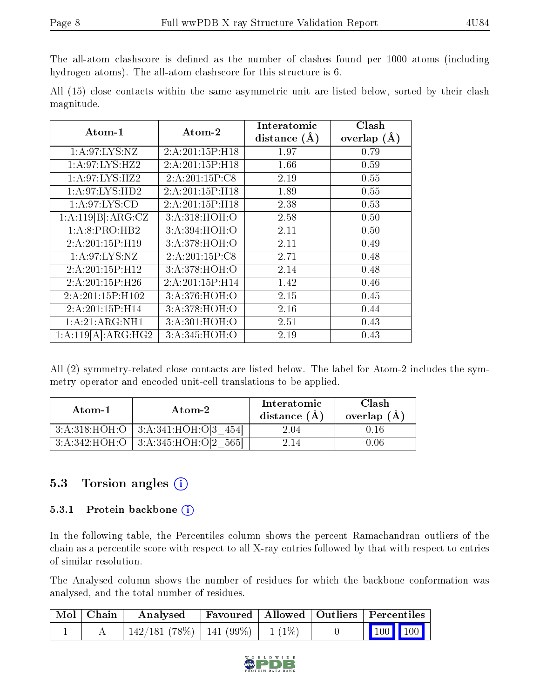The all-atom clashscore is defined as the number of clashes found per 1000 atoms (including hydrogen atoms). The all-atom clashscore for this structure is 6.

|            |  |  | All (15) close contacts within the same asymmetric unit are listed below, sorted by their clash |  |  |  |  |
|------------|--|--|-------------------------------------------------------------------------------------------------|--|--|--|--|
| magnitude. |  |  |                                                                                                 |  |  |  |  |

| Atom-1             | Atom-2          | Interatomic    | Clash         |
|--------------------|-----------------|----------------|---------------|
|                    |                 | distance $(A)$ | overlap $(A)$ |
| 1: A:97: LYS: NZ   | 2:A:201:15P:H18 | 1.97           | 0.79          |
| 1:A:97:LYS:HZ2     | 2:A:201:15P:H18 | 1.66           | 0.59          |
| 1: A:97: LYS: HZ2  | 2:A:201:15P:C8  | 2.19           | 0.55          |
| 1: A:97: LYS: HD2  | 2:A:201:15P:H18 | 1.89           | 0.55          |
| 1: A:97: LYS:CD    | 2:A:201:15P:H18 | 2.38           | 0.53          |
| 1:A:119[B]:ARG:CZ  | 3:A:318:HOH:O   | 2.58           | 0.50          |
| 1:A:8:PRO:HB2      | 3:A:394:HOH:O   | 2.11           | 0.50          |
| 2:A:201:15P:H19    | 3:A:378:HOH:O   | 2.11           | 0.49          |
| 1: A:97: LYS: NZ   | 2:A:201:15P:CS  | 2.71           | 0.48          |
| 2:A:201:15P:H12    | 3:A:378:HOH:O   | 2.14           | 0.48          |
| 2:A:201:15P:H26    | 2:A:201:15P:H14 | 1.42           | 0.46          |
| 2:A:201:15P:H102   | 3:A:376:HOH:O   | 2.15           | 0.45          |
| 2:A:201:15P:H14    | 3:A:378:HOH:O   | 2.16           | 0.44          |
| 1:A:21:ARG:NH1     | 3:A:301:HOH:O   | 2.51           | 0.43          |
| 1:A:119[A]:ARG:HG2 | 3:A:345:HOH:O   | 2.19           | 0.43          |

All (2) symmetry-related close contacts are listed below. The label for Atom-2 includes the symmetry operator and encoded unit-cell translations to be applied.

| Atom-1 | Atom-2                                     | Interatomic<br>distance $(\AA)$ | Clash<br>overlap $(A)$ |
|--------|--------------------------------------------|---------------------------------|------------------------|
|        | $3:A:318:HOH:O$   $3:A:341:HOH:O[3 \ 454]$ | 2.04                            | 0.16                   |
|        | $3:A:342:HOH:O$   $3:A:345:HOH:O[2 565]$   | 2.14                            | 0.06                   |

### 5.3 Torsion angles (i)

#### 5.3.1 Protein backbone  $(i)$

In the following table, the Percentiles column shows the percent Ramachandran outliers of the chain as a percentile score with respect to all X-ray entries followed by that with respect to entries of similar resolution.

The Analysed column shows the number of residues for which the backbone conformation was analysed, and the total number of residues.

| $\mid$ Mol $\mid$ Chain $\mid$ | Analysed Favoured   Allowed   Outliers   Percentiles |  |                                                                                    |  |  |
|--------------------------------|------------------------------------------------------|--|------------------------------------------------------------------------------------|--|--|
|                                | 142/181 (78%)   141 (99%)   1 (1%)                   |  | $\begin{array}{ c c c c c }\n\hline\n\multicolumn{1}{ c }{100} & 100\n\end{array}$ |  |  |

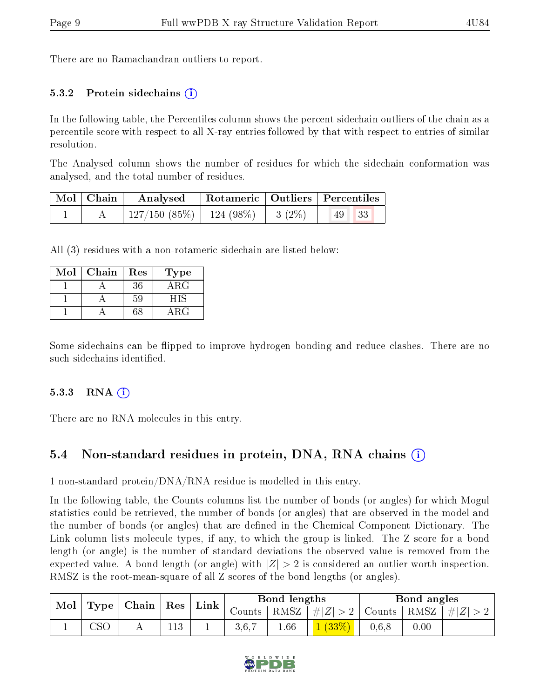There are no Ramachandran outliers to report.

#### 5.3.2 Protein sidechains  $(i)$

In the following table, the Percentiles column shows the percent sidechain outliers of the chain as a percentile score with respect to all X-ray entries followed by that with respect to entries of similar resolution.

The Analysed column shows the number of residues for which the sidechain conformation was analysed, and the total number of residues.

| Mol   Chain |                                         | Analysed   Rotameric   Outliers   Percentiles |  |                                           |  |
|-------------|-----------------------------------------|-----------------------------------------------|--|-------------------------------------------|--|
|             | $127/150$ (85\%)   124 (98\%)   3 (2\%) |                                               |  | $\parallel$ 49 $\parallel$ 33 $\parallel$ |  |

All (3) residues with a non-rotameric sidechain are listed below:

| Mol | Chain | Res | Type       |
|-----|-------|-----|------------|
|     |       | 36  | $\rm{ARG}$ |
|     |       | 59  | HIS        |
|     |       | 68  | A R.G      |

Some sidechains can be flipped to improve hydrogen bonding and reduce clashes. There are no such sidechains identified.

#### $5.3.3$  RNA  $(i)$

There are no RNA molecules in this entry.

### 5.4 Non-standard residues in protein, DNA, RNA chains (i)

1 non-standard protein/DNA/RNA residue is modelled in this entry.

In the following table, the Counts columns list the number of bonds (or angles) for which Mogul statistics could be retrieved, the number of bonds (or angles) that are observed in the model and the number of bonds (or angles) that are defined in the Chemical Component Dictionary. The Link column lists molecule types, if any, to which the group is linked. The Z score for a bond length (or angle) is the number of standard deviations the observed value is removed from the expected value. A bond length (or angle) with  $|Z| > 2$  is considered an outlier worth inspection. RMSZ is the root-mean-square of all Z scores of the bond lengths (or angles).

| Mol |     | $\vert$ Type $\vert$ Chain $\vert$ Res $\vert$ |  |  |        | $\perp$ Link       |                                                        | Bond lengths |      | Bond angles              |  |  |
|-----|-----|------------------------------------------------|--|--|--------|--------------------|--------------------------------------------------------|--------------|------|--------------------------|--|--|
|     |     |                                                |  |  | Counts | $\mid$ RMSZ $\mid$ | $\left  \#Z \right  > 2$   Counts   RMSZ   $\# Z  > 2$ |              |      |                          |  |  |
|     | ∩מר |                                                |  |  | 3,6,7  | 1.66               | 1(33%)                                                 | 0.6, 8       | 0.00 | $\overline{\phantom{a}}$ |  |  |

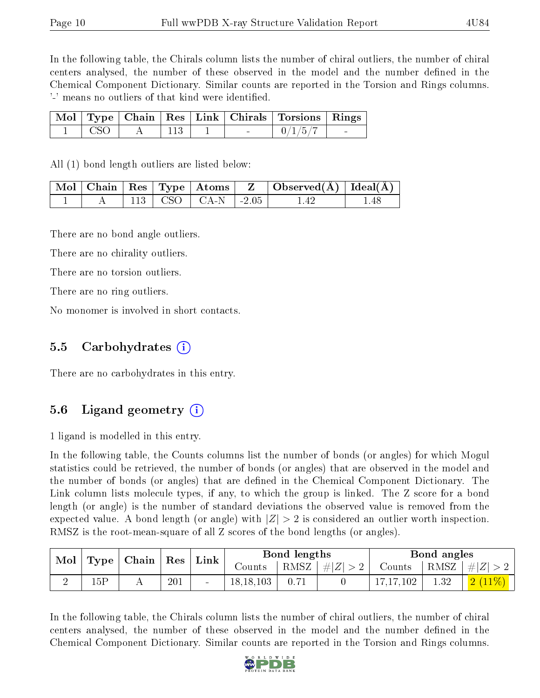In the following table, the Chirals column lists the number of chiral outliers, the number of chiral centers analysed, the number of these observed in the model and the number defined in the Chemical Component Dictionary. Similar counts are reported in the Torsion and Rings columns. '-' means no outliers of that kind were identified.

|            |  |        | Mol   Type   Chain   Res   Link   Chirals   Torsions   Rings |  |
|------------|--|--------|--------------------------------------------------------------|--|
| $\Box$ CSO |  | $\sim$ | $1 \frac{0}{15}$                                             |  |

All (1) bond length outliers are listed below:

|  |  |                            | $\mid$ Mol $\mid$ Chain $\mid$ Res $\mid$ Type $\mid$ Atoms $\mid$ Z $\mid$ Observed(Å) $\mid$ Ideal(Å) $\mid$ |  |
|--|--|----------------------------|----------------------------------------------------------------------------------------------------------------|--|
|  |  | $113$   CSO   CA-N   -2.05 | l 42                                                                                                           |  |

There are no bond angle outliers.

There are no chirality outliers.

There are no torsion outliers.

There are no ring outliers.

No monomer is involved in short contacts.

#### 5.5 Carbohydrates (i)

There are no carbohydrates in this entry.

#### 5.6 Ligand geometry (i)

1 ligand is modelled in this entry.

In the following table, the Counts columns list the number of bonds (or angles) for which Mogul statistics could be retrieved, the number of bonds (or angles) that are observed in the model and the number of bonds (or angles) that are defined in the Chemical Component Dictionary. The Link column lists molecule types, if any, to which the group is linked. The Z score for a bond length (or angle) is the number of standard deviations the observed value is removed from the expected value. A bond length (or angle) with  $|Z| > 2$  is considered an outlier worth inspection. RMSZ is the root-mean-square of all Z scores of the bond lengths (or angles).

| $\bf{Mol}$ | Type | Chain   Res |     | $^{\circ}$ Link | Bond lengths |                        |         | Bond angles |      |                  |  |
|------------|------|-------------|-----|-----------------|--------------|------------------------|---------|-------------|------|------------------|--|
|            |      |             |     |                 | Counts       | $\lceil$ RMSZ $\lceil$ | $\# Z $ | Counts      | RMSZ | $\vert \#  Z $   |  |
|            | 15P  |             | 201 | $\sim$          | 18, 18, 103  | 0.71                   |         | 17, 17, 102 | 1.32 | $\sqrt{2}$ (11%) |  |

In the following table, the Chirals column lists the number of chiral outliers, the number of chiral centers analysed, the number of these observed in the model and the number defined in the Chemical Component Dictionary. Similar counts are reported in the Torsion and Rings columns.

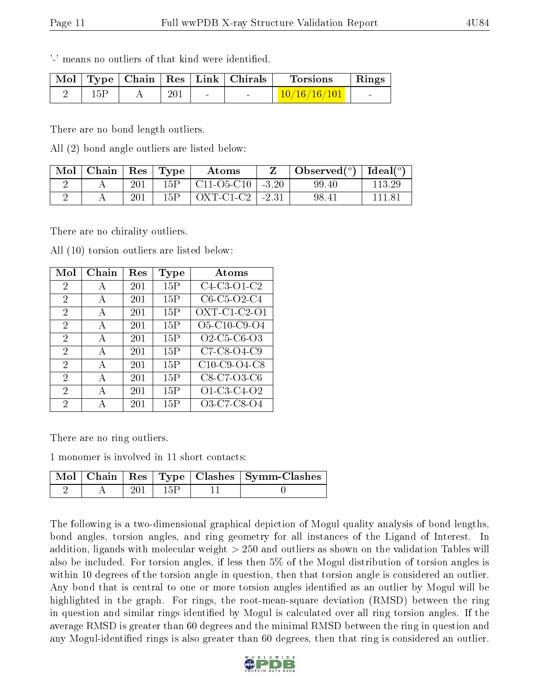'-' means no outliers of that kind were identified.

|     |     | Mol   Type   Chain   Res   Link   Chirals | <b>Torsions</b>                                       | Rings                    |
|-----|-----|-------------------------------------------|-------------------------------------------------------|--------------------------|
| 15P | 201 |                                           | $\left\lfloor \frac{10/16/16/101}{\pi} \right\rfloor$ | <b>Contract Contract</b> |

There are no bond length outliers.

All (2) bond angle outliers are listed below:

| Mol | Chain |     | $Res$ Type | Atoms                |            | Observed $(^\circ)$ | Ideal $(^{o}$ |
|-----|-------|-----|------------|----------------------|------------|---------------------|---------------|
|     |       | 201 | 15P        | $C11-O5-C10$   -3.20 |            | 99.40               | 113 29        |
|     |       | 201 | 15P        | OXT-C1-C2            | $1 - 2.31$ | 98.41               |               |

There are no chirality outliers.

| Mol            | Chain        | Res | Type | Atoms                                                          |
|----------------|--------------|-----|------|----------------------------------------------------------------|
| $\overline{2}$ | А            | 201 | 15P  | $\overline{C4-C3}$ -O1-C2                                      |
| 2              | $\bf{A}$     | 201 | 15P  | C6-C5-O2-C4                                                    |
| 2              | A            | 201 | 15P  | $OXT-C1-C2-O1$                                                 |
| $\overline{2}$ | A            | 201 | 15P  | O5-C10-C9-O4                                                   |
| $\overline{2}$ | A            | 201 | 15P  | O <sub>2</sub> -C <sub>5</sub> -C <sub>6</sub> -O <sub>3</sub> |
| $\overline{2}$ | A            | 201 | 15P  | $\overline{C}$ 7-C8-O4-C9                                      |
| $\overline{2}$ | $\mathbf{A}$ | 201 | 15P  | C10-C9-O4-C8                                                   |
| 2              | A            | 201 | 15P  | C8-C7-O3-C6                                                    |
| 2              | A            | 201 | 15P  | O1-C3-C4-O2                                                    |
| 2              |              | 201 | 15P  | O3-C7-C8-O4                                                    |

All (10) torsion outliers are listed below:

There are no ring outliers.

1 monomer is involved in 11 short contacts:

|  |       |      | Mol   Chain   Res   Type   Clashes   Symm-Clashes |
|--|-------|------|---------------------------------------------------|
|  | -201- | -15P |                                                   |

The following is a two-dimensional graphical depiction of Mogul quality analysis of bond lengths, bond angles, torsion angles, and ring geometry for all instances of the Ligand of Interest. In addition, ligands with molecular weight > 250 and outliers as shown on the validation Tables will also be included. For torsion angles, if less then 5% of the Mogul distribution of torsion angles is within 10 degrees of the torsion angle in question, then that torsion angle is considered an outlier. Any bond that is central to one or more torsion angles identified as an outlier by Mogul will be highlighted in the graph. For rings, the root-mean-square deviation (RMSD) between the ring in question and similar rings identified by Mogul is calculated over all ring torsion angles. If the average RMSD is greater than 60 degrees and the minimal RMSD between the ring in question and any Mogul-identified rings is also greater than 60 degrees, then that ring is considered an outlier.

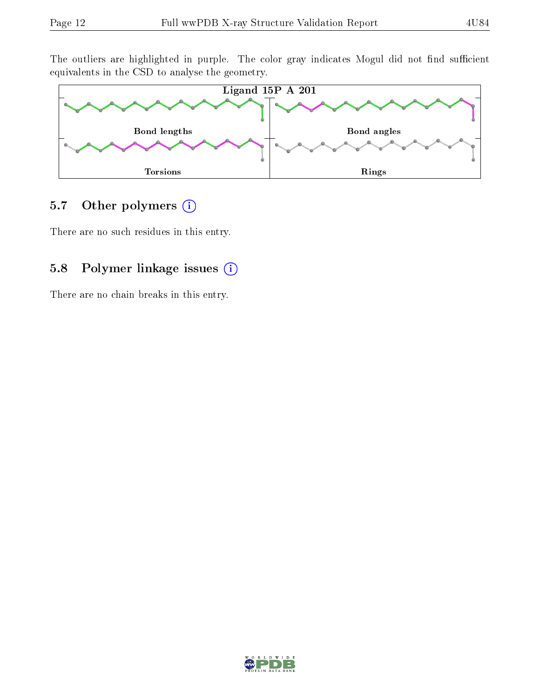The outliers are highlighted in purple. The color gray indicates Mogul did not find sufficient equivalents in the CSD to analyse the geometry.



### 5.7 [O](https://www.wwpdb.org/validation/2017/XrayValidationReportHelp#nonstandard_residues_and_ligands)ther polymers (i)

There are no such residues in this entry.

### 5.8 Polymer linkage issues (i)

There are no chain breaks in this entry.

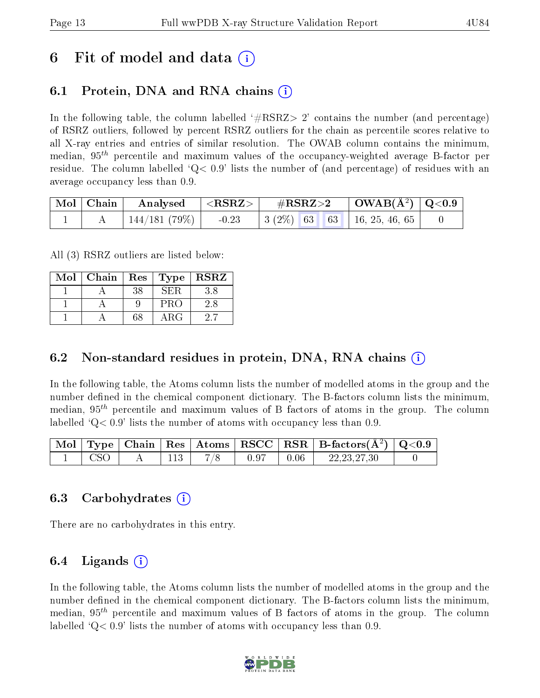## 6 Fit of model and data  $\left( \cdot \right)$

### 6.1 Protein, DNA and RNA chains (i)

In the following table, the column labelled  $#RSRZ>2'$  contains the number (and percentage) of RSRZ outliers, followed by percent RSRZ outliers for the chain as percentile scores relative to all X-ray entries and entries of similar resolution. The OWAB column contains the minimum, median,  $95<sup>th</sup>$  percentile and maximum values of the occupancy-weighted average B-factor per residue. The column labelled  $Q < 0.9$  lists the number of (and percentage) of residues with an average occupancy less than 0.9.

|  | $\mid$ Mol $\mid$ Chain $\mid$ Analysed $\mid$ <rsrz> <math>\mid</math></rsrz> |  |  |  |  |
|--|--------------------------------------------------------------------------------|--|--|--|--|
|  | $144/181$ (79%)   -0.23   3 (2%)   63   63   16, 25, 46, 65                    |  |  |  |  |

All (3) RSRZ outliers are listed below:

| Mol | Chain   Res |    | $\top$ Type $\top$ | $\mid$ RSRZ |
|-----|-------------|----|--------------------|-------------|
|     |             | 38 | SER.               | 3.8         |
|     |             |    | PRO                | 2.8         |
|     |             | 68 | ARG                |             |

### 6.2 Non-standard residues in protein, DNA, RNA chains  $(i)$

In the following table, the Atoms column lists the number of modelled atoms in the group and the number defined in the chemical component dictionary. The B-factors column lists the minimum, median,  $95<sup>th</sup>$  percentile and maximum values of B factors of atoms in the group. The column labelled  $Q< 0.9$  lists the number of atoms with occupancy less than 0.9.

|            |     |       |      | $\mid$ Mol $\mid$ Type $\mid$ Chain $\mid$ Res $\mid$ Atoms $\mid$ RSCC $\mid$ RSR $\mid$ B-factors(Å <sup>2</sup> ) $\mid$ Q<0.9 |  |
|------------|-----|-------|------|-----------------------------------------------------------------------------------------------------------------------------------|--|
| <b>CSO</b> | 113 | -0.97 | 0.06 | 22, 23, 27, 30                                                                                                                    |  |

### 6.3 Carbohydrates (i)

There are no carbohydrates in this entry.

### $6.4$  Ligands  $(i)$

In the following table, the Atoms column lists the number of modelled atoms in the group and the number defined in the chemical component dictionary. The B-factors column lists the minimum, median,  $95<sup>th</sup>$  percentile and maximum values of B factors of atoms in the group. The column labelled  $Q < 0.9$ ' lists the number of atoms with occupancy less than 0.9.